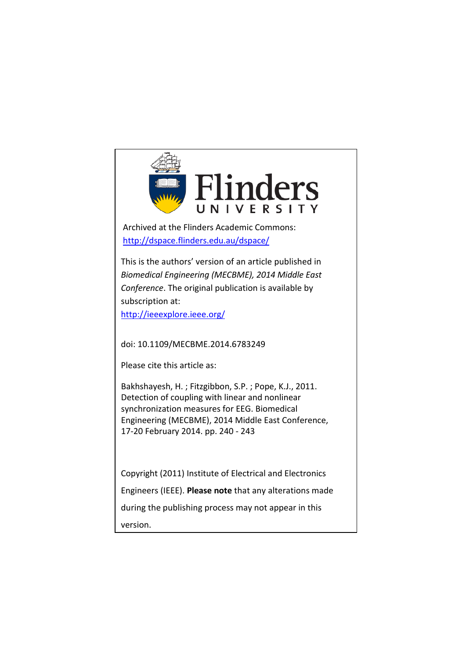

Archived at the Flinders Academic Commons: http://dspace.flinders.edu.au/dspace/

This is [the authors' version of an article](http://dspace.flinders.edu.au/dspace/) published in *Biomedical Engineering (MECBME), 2014 Middle East Conference*. The original publication is available by subscription at:

http://ieeexplore.ieee.org/

doi: 10.1109/MECBME.2014.6783249

Please cite this article as:

Bakhshayesh, H. ; Fitzgibbon, S.P. ; Pope, K.J., 2011. Detection of coupling with linear and nonlinear synchronization measures for EEG. Biomedical Engineering (MECBME), 2014 Middle East Conference, 17-20 February 2014. pp. 240 - 243

Copyright (2011) Institute of Electrical and Electronics Engineers (IEEE). **Please note** that any alterations made during the publishing process may not appear in this version.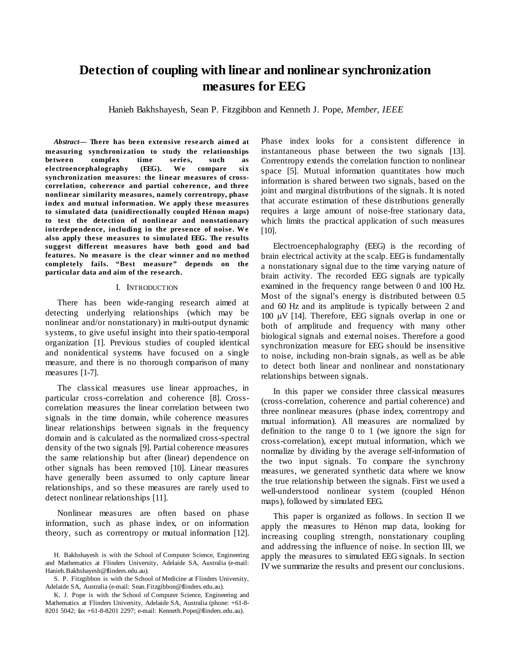# **Detection of coupling with linear and nonlinear synchronization measures for EEG**

Hanieh Bakhshayesh, Sean P. Fitzgibbon and Kenneth J. Pope, *Member, IEEE*

*Abstract***— There has been extensive research aimed at measuring synchronization to study the relationships between complex time series, such as electroencephalography (EEG). We compare six synchronization measures: the linear measures of crosscorrelation, coherence and partial coherence, and three nonlinear similarity measures, namely correntropy, phase index and mutual information. We apply these measures to simulated data (unidirectionally coupled Hénon maps) to test the detection of nonlinear and nonstationary interdependence, including in the presence of noise. We also apply these measures to simulated EEG. The results suggest different measures have both good and bad features. No measure is the clear winner and no method completely fails. "Best measure" depends on the particular data and aim of the research.**

### I. INTRODUCTION

There has been wide-ranging research aimed at detecting underlying relationships (which may be nonlinear and/or nonstationary) in multi-output dynamic systems, to give useful insight into their spatio-temporal organization [\[1\]](#page-5-0). Previous studies of coupled identical and nonidentical systems have focused on a single measure, and there is no thorough comparison of many measures [\[1-7\]](#page-5-0).

The classical measures use linear approaches, in particular cross-correlation and coherence [\[8\]](#page-5-1). Crosscorrelation measures the linear correlation between two signals in the time domain, while coherence measures linear relationships between signals in the frequency domain and is calculated as the normalized cross-spectral density of the two signals [\[9\]](#page-5-2). Partial coherence measures the same relationship but after (linear) dependence on other signals has been removed [\[10\]](#page-5-3). Linear measures have generally been assumed to only capture linear relationships, and so these measures are rarely used to detect nonlinear relationships [\[11\]](#page-5-4).

Nonlinear measures are often based on phase information, such as phase index, or on information theory, such as correntropy or mutual information [\[12\]](#page-5-5).

Phase index looks for a consistent difference in instantaneous phase between the two signals [\[13\]](#page-5-6). Correntropy extends the correlation function to nonlinear space [\[5\]](#page-5-7). Mutual information quantitates how much information is shared between two signals, based on the joint and marginal distributions of the signals. It is noted that accurate estimation of these distributions generally requires a large amount of noise-free stationary data, which limits the practical application of such measures [\[10\]](#page-5-3).

Electroencephalography (EEG) is the recording of brain [electrical](http://en.wikipedia.org/wiki/Electrical) activity at th[e scalp.](http://en.wikipedia.org/wiki/Scalp) EEG is fundamentally a nonstationary signal due to the time varying nature of brain activity. The recorded EEG signals are typically examined in the frequency range between 0 and 100 Hz. Most of the signal's energy is distributed between 0.5 and 60 Hz and its amplitude is typically between 2 and 100 µV [\[14\]](#page-5-8). Therefore, EEG signals overlap in one or both of amplitude and frequency with many other biological signals and external noises. Therefore a good synchronization measure for EEG should be insensitive to noise, including non-brain signals, as well as be able to detect both linear and nonlinear and nonstationary relationships between signals.

In this paper we consider three classical measures (cross-correlation, coherence and partial coherence) and three nonlinear measures (phase index, correntropy and mutual information). All measures are normalized by definition to the range 0 to 1 (we ignore the sign for cross-correlation), except mutual information, which we normalize by dividing by the average self-information of the two input signals. To compare the synchrony measures, we generated synthetic data where we know the true relationship between the signals. First we used a well-understood nonlinear system (coupled Hénon maps), followed by simulated EEG.

This paper is organized as follows. In section [II](#page-2-0) we apply the measures to Hénon map data, looking for increasing coupling strength, nonstationary coupling and addressing the influence of noise. In section [III,](#page-4-0) we apply the measures to simulated EEG signals. In section [IVw](#page-4-1)e summarize the results and present our conclusions.

H. Bakhshayesh is with the School of Computer Science, Engineering and Mathematics at Flinders University, Adelaide SA, Australia (e-mail: Hanieh.Bakhshayesh@flinders.edu.au).

S. P. Fitzgibbon is with the School of Medicine at Flinders University, Adelaide SA, Australia (e-mail: Sean.Fitzgibbon@flinders.edu.au).

K. J. Pope is with the School of Computer Science, Engineering and Mathematics at Flinders University, Adelaide SA, Australia (phone: +61-8- 8201 5042; fax +61-8-8201 2297; e-mail: Kenneth.Pope@flinders.edu.au).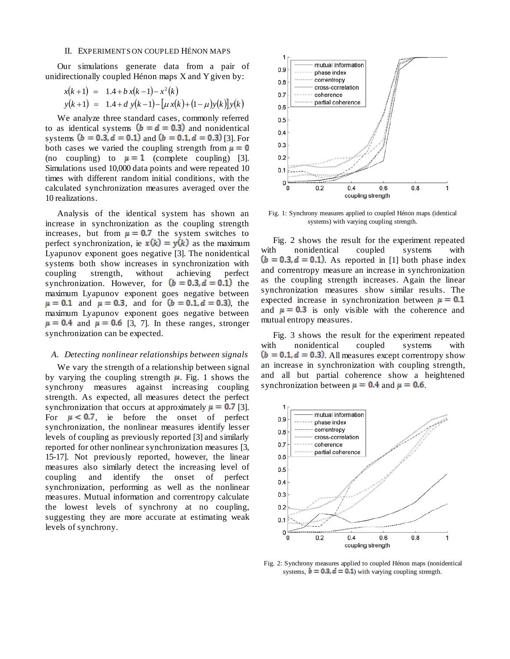## II. EXPERIMENTS ON COUPLED HÉNON MAPS

<span id="page-2-0"></span>Our simulations generate data from a pair of unidirectionally coupled Hénon maps X and Y given by:

$$
x(k+1) = 1.4 + b x(k-1) - x2(k)
$$
  
\n
$$
y(k+1) = 1.4 + d y(k-1) - [u x(k) + (1 - \mu)y(k)]y(k)
$$

We analyze three standard cases, commonly referred to as identical systems  $(b = d = 0.3)$  and nonidentical systems  $(b = 0.3, d = 0.1)$  and  $(b = 0.1, d = 0.3)$  [\[3\]](#page-5-9). For both cases we varied the coupling strength from  $\mu = 0$ (no coupling) to  $\mu = 1$  (complete coupling) [\[3\]](#page-5-9). Simulations used 10,000 data points and were repeated 10 times with different random initial conditions, with the calculated synchronization measures averaged over the 10 realizations.

Analysis of the identical system has shown an increase in synchronization as the coupling strength increases, but from  $\mu = 0.7$  the system switches to perfect synchronization, ie  $x(k) = y(k)$  as the maximum Lyapunov exponent goes negative [\[3\]](#page-5-9). The nonidentical systems both show increases in synchronization with coupling strength, without achieving perfect synchronization. However, for  $(b = 0.3, d = 0.1)$  the maximum Lyapunov exponent goes negative between  $\mu = 0.1$  and  $\mu = 0.3$ , and for  $(b = 0.1, d = 0.3)$ , the maximum Lyapunov exponent goes negative between  $\mu = 0.4$  and  $\mu = 0.6$  [\[3,](#page-5-9) [7\]](#page-5-10). In these ranges, stronger synchronization can be expected.

## *A. Detecting nonlinear relationships between signals*

We vary the strength of a relationship between signal by varying the coupling strength  $\mu$ . [Fig. 1](#page-2-1) shows the synchrony measures against increasing coupling strength. As expected, all measures detect the perfect synchronization that occurs at approximately  $\mu = 0.7$  [\[3\]](#page-5-9). For  $\mu < 0.7$ , ie before the onset of perfect synchronization, the nonlinear measures identify lesser levels of coupling as previously reported [\[3\]](#page-5-9) and similarly reported for other nonlinear synchronization measures [\[3,](#page-5-9) [15-17\]](#page-5-11). Not previously reported, however, the linear measures also similarly detect the increasing level of coupling and identify the onset of perfect synchronization, performing as well as the nonlinear measures. Mutual information and correntropy calculate the lowest levels of synchrony at no coupling, suggesting they are more accurate at estimating weak levels of synchrony.



<span id="page-2-1"></span>Fig. 1: Synchrony measures applied to coupled Hénon maps (identical systems) with varying coupling strength.

[Fig. 2](#page-2-2) shows the result for the experiment repeated with nonidentical coupled systems with  $(b = 0.3, d = 0.1)$ . As reported in [\[1\]](#page-5-0) both phase index and correntropy measure an increase in synchronization as the coupling strength increases. Again the linear synchronization measures show similar results. The expected increase in synchronization between  $\mu = 0.1$ and  $\mu = 0.3$  is only visible with the coherence and mutual entropy measures.

[Fig. 3](#page-3-0) shows the result for the experiment repeated with nonidentical coupled systems with  $(b = 0.1, d = 0.3)$ . All measures except correntropy show an increase in synchronization with coupling strength, and all but partial coherence show a heightened synchronization between  $\mu = 0.4$  and  $\mu = 0.6$ .



<span id="page-2-2"></span>Fig. 2: Synchrony measures applied to coupled Hénon maps (nonidentical systems,  $\mathbf{b} = 0.3$ ,  $\mathbf{d} = 0.1$ ) with varying coupling strength.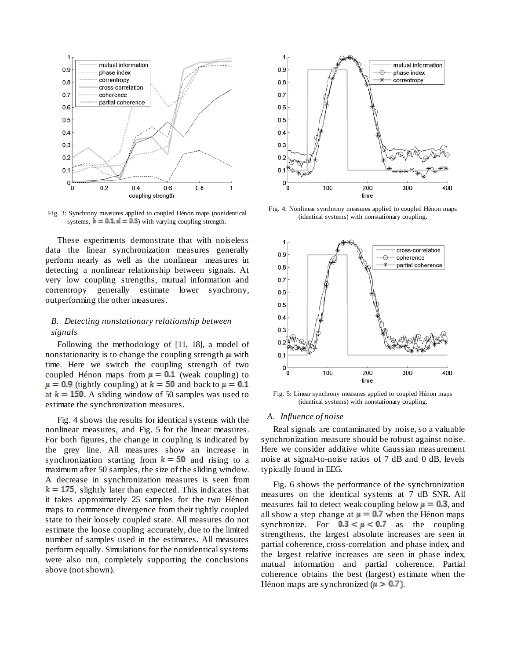

<span id="page-3-0"></span>Fig. 3: Synchrony measures applied to coupled Hénon maps (nonidentical systems,  $\mathbf{b} = 0.1$ ,  $\mathbf{d} = 0.3$ ) with varying coupling strength.

These experiments demonstrate that with noiseless data the linear synchronization measures generally perform nearly as well as the nonlinear measures in detecting a nonlinear relationship between signals. At very low coupling strengths, mutual information and correntropy generally estimate lower synchrony, outperforming the other measures.

## *B. Detecting nonstationary relationship between signals*

Following the methodology of [\[11,](#page-5-4) [18\]](#page-5-12), a model of nonstationarity is to change the coupling strength  $\mu$  with time. Here we switch the coupling strength of two coupled Hénon maps from  $\mu = 0.1$  (weak coupling) to  $\mu = 0.9$  (tightly coupling) at  $k = 50$  and back to  $\mu = 0.1$ at  $k = 150$ . A sliding window of 50 samples was used to estimate the synchronization measures.

[Fig. 4](#page-3-1) shows the results for identical systems with the nonlinear measures, and [Fig. 5](#page-3-2) for the linear measures. For both figures, the change in coupling is indicated by the grey line. All measures show an increase in synchronization starting from  $k = 50$  and rising to a maximum after 50 samples, the size of the sliding window. A decrease in synchronization measures is seen from  $k = 175$ , slightly later than expected. This indicates that it takes approximately 25 samples for the two Hénon maps to commence divergence from their tightly coupled state to their loosely coupled state. All measures do not estimate the loose coupling accurately, due to the limited number of samples used in the estimates. All measures perform equally. Simulations for the nonidentical systems were also run, completely supporting the conclusions above (not shown).



<span id="page-3-1"></span>Fig. 4: Nonlinear synchrony measures applied to coupled Hénon maps (identical systems) with nonstationary coupling.



<span id="page-3-2"></span>Fig. 5: Linear synchrony measures applied to coupled Hénon maps (identical systems) with nonstationary coupling.

### *A. Influence of noise*

Real signals are contaminated by noise, so a valuable synchronization measure should be robust against noise. Here we consider additive white Gaussian measurement noise at signal-to-noise ratios of 7 dB and 0 dB, levels typically found in EEG.

[Fig. 6](#page-4-2) shows the performance of the synchronization measures on the identical systems at 7 dB SNR. All measures fail to detect weak coupling below  $\mu = 0.3$ , and all show a step change at  $\mu = 0.7$  when the Hénon maps synchronize. For  $0.3 < \mu < 0.7$  as the coupling strengthens, the largest absolute increases are seen in partial coherence, cross-correlation and phase index, and the largest relative increases are seen in phase index, mutual information and partial coherence. Partial coherence obtains the best (largest) estimate when the Hénon maps are synchronized ( $\mu > 0.7$ ).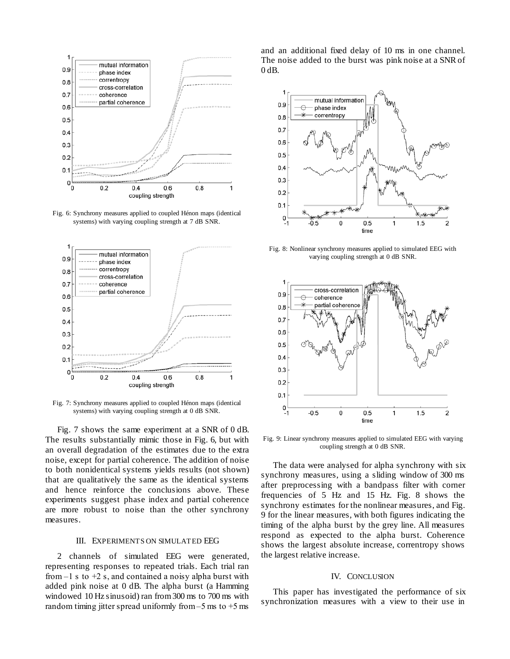

<span id="page-4-2"></span>Fig. 6: Synchrony measures applied to coupled Hénon maps (identical systems) with varying coupling strength at 7 dB SNR.



<span id="page-4-3"></span>Fig. 7: Synchrony measures applied to coupled Hénon maps (identical systems) with varying coupling strength at 0 dB SNR.

<span id="page-4-0"></span>[Fig. 7](#page-4-3) shows the same experiment at a SNR of 0 dB. The results substantially mimic those in [Fig. 6,](#page-4-2) but with an overall degradation of the estimates due to the extra noise, except for partial coherence. The addition of noise to both nonidentical systems yields results (not shown) that are qualitatively the same as the identical systems and hence reinforce the conclusions above. These experiments suggest phase index and partial coherence are more robust to noise than the other synchrony measures.

## III. EXPERIMENTS ON SIMULATED EEG

2 channels of simulated EEG were generated, representing responses to repeated trials. Each trial ran from  $-1$  s to  $+2$  s, and contained a noisy alpha burst with added pink noise at 0 dB. The alpha burst (a Hamming windowed 10 Hz sinusoid) ran from 300 ms to 700 ms with random timing jitter spread uniformly from  $-5$  ms to  $+5$  ms

and an additional fixed delay of 10 ms in one channel. The noise added to the burst was pink noise at a SNR of 0 dB.



<span id="page-4-4"></span>Fig. 8: Nonlinear synchrony measures applied to simulated EEG with varying coupling strength at 0 dB SNR.



<span id="page-4-5"></span>Fig. 9: Linear synchrony measures applied to simulated EEG with varying coupling strength at 0 dB SNR.

The data were analysed for alpha synchrony with six synchrony measures, using a sliding window of 300 ms after preprocessing with a bandpass filter with corner frequencies of 5 Hz and 15 Hz. [Fig. 8](#page-4-4) shows the synchrony estimates for the nonlinear measures, and [Fig.](#page-4-5)  [9](#page-4-5) for the linear measures, with both figures indicating the timing of the alpha burst by the grey line. All measures respond as expected to the alpha burst. Coherence shows the largest absolute increase, correntropy shows the largest relative increase.

## IV. CONCLUSION

<span id="page-4-1"></span>This paper has investigated the performance of six synchronization measures with a view to their use in